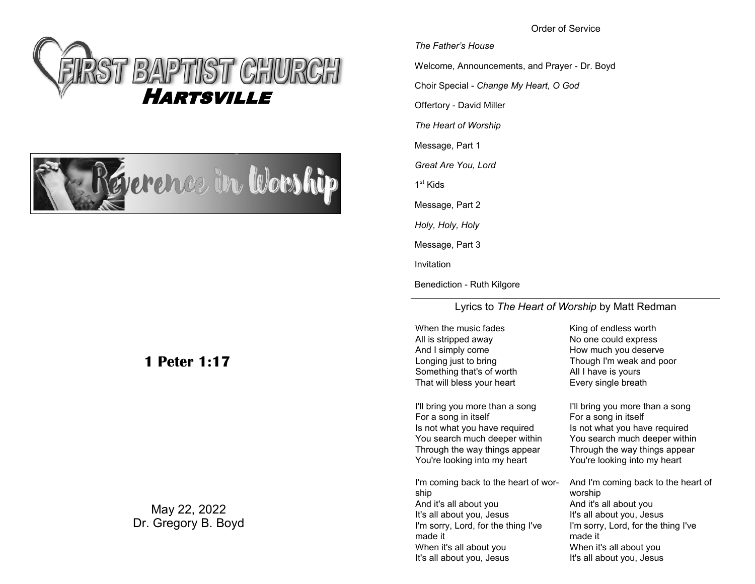Order of Service





# **1 Peter 1:17**

May 22, 2022 Dr. Gregory B. Boyd *The Father's House* Welcome, Announcements, and Prayer - Dr. Boyd Choir Special - *Change My Heart, O God* Offertory - David Miller *The Heart of Worship* Message, Part 1 *Great Are You, Lord* 1<sup>st</sup> Kids Message, Part 2 *Holy, Holy, Holy* Message, Part 3 Invitation

Benediction - Ruth Kilgore

Lyrics to *The Heart of Worship* by Matt Redman

When the music fades All is stripped away And I simply come Longing just to bring Something that's of worth That will bless your heart

I'll bring you more than a song For a song in itself Is not what you have required You search much deeper within Through the way things appear You're looking into my heart

I'm coming back to the heart of worship And it's all about you It's all about you, Jesus I'm sorry, Lord, for the thing I've made it When it's all about you It's all about you, Jesus

King of endless worth No one could express How much you deserve Though I'm weak and poor All I have is yours Every single breath

I'll bring you more than a song For a song in itself Is not what you have required You search much deeper within Through the way things appear You're looking into my heart

And I'm coming back to the heart of worship And it's all about you It's all about you, Jesus I'm sorry, Lord, for the thing I've made it When it's all about you It's all about you, Jesus